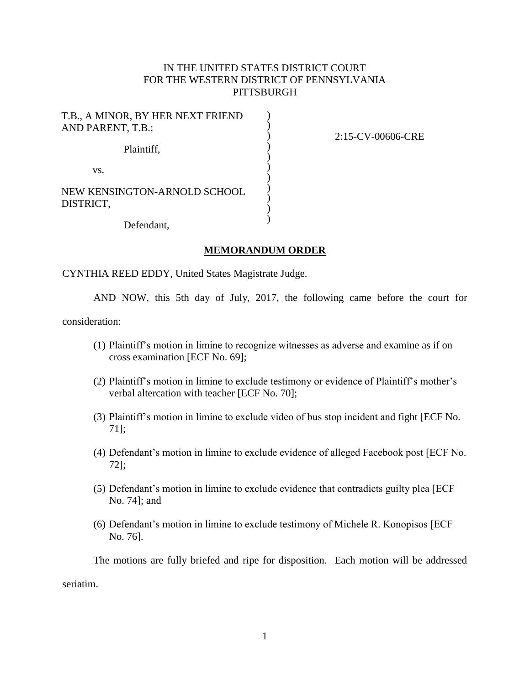## IN THE UNITED STATES DISTRICT COURT FOR THE WESTERN DISTRICT OF PENNSYLVANIA **PITTSBURGH**

) ) ) ) ) ) ) ) ) ) )

T.B., A MINOR, BY HER NEXT FRIEND AND PARENT, T.B.; Plaintiff, vs. NEW KENSINGTON-ARNOLD SCHOOL DISTRICT,

2:15-CV-00606-CRE

Defendant,

#### **MEMORANDUM ORDER**

CYNTHIA REED EDDY, United States Magistrate Judge.

AND NOW, this 5th day of July, 2017, the following came before the court for

consideration:

- (1) Plaintiff's motion in limine to recognize witnesses as adverse and examine as if on cross examination [ECF No. 69];
- (2) Plaintiff's motion in limine to exclude testimony or evidence of Plaintiff's mother's verbal altercation with teacher [ECF No. 70];
- (3) Plaintiff's motion in limine to exclude video of bus stop incident and fight [ECF No. 71];
- (4) Defendant's motion in limine to exclude evidence of alleged Facebook post [ECF No. 72];
- (5) Defendant's motion in limine to exclude evidence that contradicts guilty plea [ECF No. 74]; and
- (6) Defendant's motion in limine to exclude testimony of Michele R. Konopisos [ECF No. 76].

The motions are fully briefed and ripe for disposition. Each motion will be addressed

seriatim.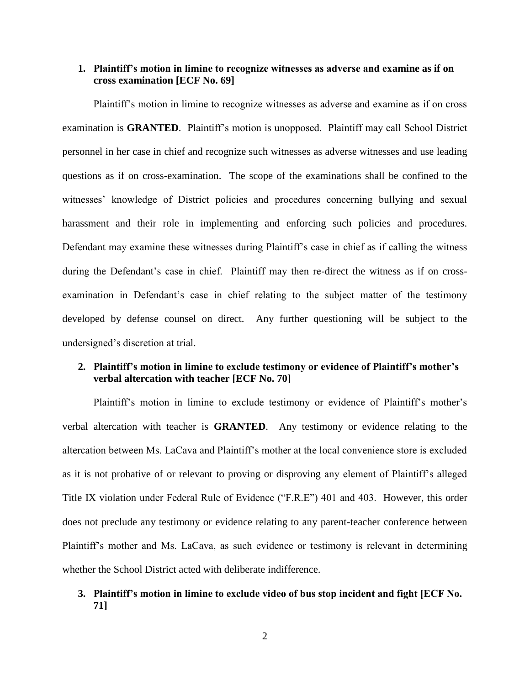#### **1. Plaintiff's motion in limine to recognize witnesses as adverse and examine as if on cross examination [ECF No. 69]**

Plaintiff's motion in limine to recognize witnesses as adverse and examine as if on cross examination is **GRANTED**. Plaintiff's motion is unopposed. Plaintiff may call School District personnel in her case in chief and recognize such witnesses as adverse witnesses and use leading questions as if on cross-examination. The scope of the examinations shall be confined to the witnesses' knowledge of District policies and procedures concerning bullying and sexual harassment and their role in implementing and enforcing such policies and procedures. Defendant may examine these witnesses during Plaintiff's case in chief as if calling the witness during the Defendant's case in chief. Plaintiff may then re-direct the witness as if on crossexamination in Defendant's case in chief relating to the subject matter of the testimony developed by defense counsel on direct. Any further questioning will be subject to the undersigned's discretion at trial.

### **2. Plaintiff's motion in limine to exclude testimony or evidence of Plaintiff's mother's verbal altercation with teacher [ECF No. 70]**

Plaintiff's motion in limine to exclude testimony or evidence of Plaintiff's mother's verbal altercation with teacher is **GRANTED**. Any testimony or evidence relating to the altercation between Ms. LaCava and Plaintiff's mother at the local convenience store is excluded as it is not probative of or relevant to proving or disproving any element of Plaintiff's alleged Title IX violation under Federal Rule of Evidence ("F.R.E") 401 and 403. However, this order does not preclude any testimony or evidence relating to any parent-teacher conference between Plaintiff's mother and Ms. LaCava, as such evidence or testimony is relevant in determining whether the School District acted with deliberate indifference.

### **3. Plaintiff's motion in limine to exclude video of bus stop incident and fight [ECF No. 71]**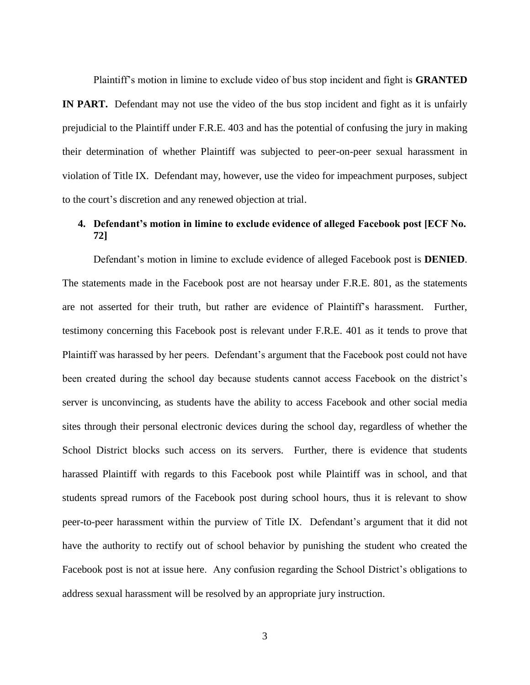Plaintiff's motion in limine to exclude video of bus stop incident and fight is **GRANTED**

**IN PART.** Defendant may not use the video of the bus stop incident and fight as it is unfairly prejudicial to the Plaintiff under F.R.E. 403 and has the potential of confusing the jury in making their determination of whether Plaintiff was subjected to peer-on-peer sexual harassment in violation of Title IX. Defendant may, however, use the video for impeachment purposes, subject to the court's discretion and any renewed objection at trial.

# **4. Defendant's motion in limine to exclude evidence of alleged Facebook post [ECF No. 72]**

Defendant's motion in limine to exclude evidence of alleged Facebook post is **DENIED**. The statements made in the Facebook post are not hearsay under F.R.E. 801, as the statements are not asserted for their truth, but rather are evidence of Plaintiff's harassment. Further, testimony concerning this Facebook post is relevant under F.R.E. 401 as it tends to prove that Plaintiff was harassed by her peers. Defendant's argument that the Facebook post could not have been created during the school day because students cannot access Facebook on the district's server is unconvincing, as students have the ability to access Facebook and other social media sites through their personal electronic devices during the school day, regardless of whether the School District blocks such access on its servers. Further, there is evidence that students harassed Plaintiff with regards to this Facebook post while Plaintiff was in school, and that students spread rumors of the Facebook post during school hours, thus it is relevant to show peer-to-peer harassment within the purview of Title IX. Defendant's argument that it did not have the authority to rectify out of school behavior by punishing the student who created the Facebook post is not at issue here. Any confusion regarding the School District's obligations to address sexual harassment will be resolved by an appropriate jury instruction.